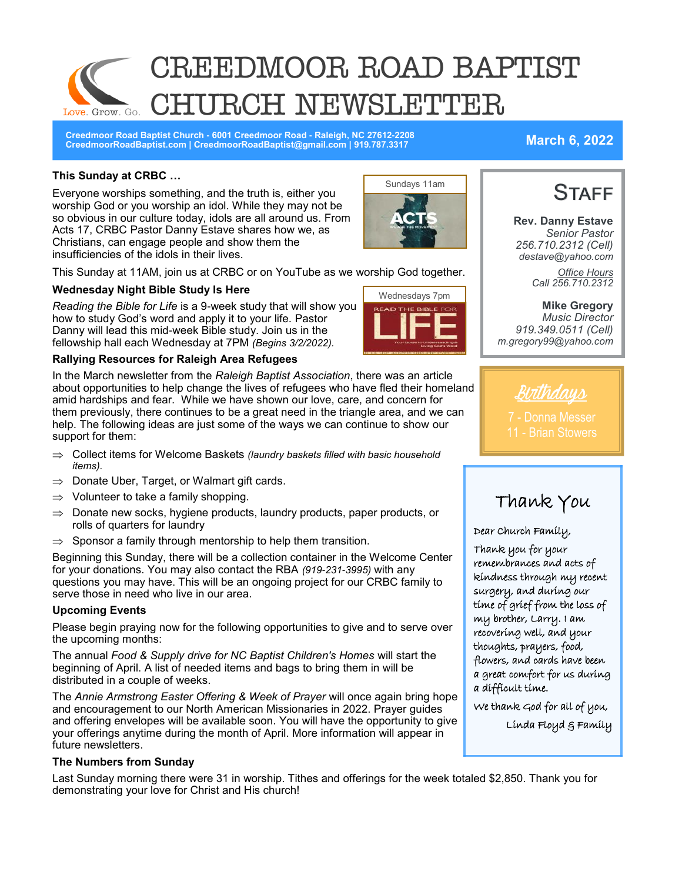# CREEDMOOR ROAD BAPTIST RCH NEWSLETTER Love. Grow. Go.

**Creedmoor Road Baptist Church - 6001 Creedmoor Road - Raleigh, NC 27612-2208 CreedmoorRoadBaptist.com | CreedmoorRoadBaptist@gmail.com | 919.787.3317 March 6, 2022**

**Rev. Danny Estave** *Senior Pastor 256.710.2312 (Cell) destave@yahoo.com*

**STAFF** 

*Office Hours Call 256.710.2312* 

### **This Sunday at CRBC …**

Everyone worships something, and the truth is, either you worship God or you worship an idol. While they may not be so obvious in our culture today, idols are all around us. From Acts 17, CRBC Pastor Danny Estave shares how we, as Christians, can engage people and show them the insufficiencies of the idols in their lives.



This Sunday at 11AM, join us at CRBC or on YouTube as we worship God together.

#### **Wednesday Night Bible Study Is Here**

*Reading the Bible for Life* is a 9-week study that will show you how to study God's word and apply it to your life. Pastor Danny will lead this mid-week Bible study. Join us in the fellowship hall each Wednesday at 7PM *(Begins 3/2/2022).*

#### **Rallying Resources for Raleigh Area Refugees**

In the March newsletter from the *Raleigh Baptist Association*, there was an article about opportunities to help change the lives of refugees who have fled their homeland amid hardships and fear. While we have shown our love, care, and concern for them previously, there continues to be a great need in the triangle area, and we can help. The following ideas are just some of the ways we can continue to show our support for them:

- Collect items for Welcome Baskets *(laundry baskets filled with basic household items).*
- $\Rightarrow$  Donate Uber, Target, or Walmart gift cards.
- $\Rightarrow$  Volunteer to take a family shopping.
- $\Rightarrow$  Donate new socks, hygiene products, laundry products, paper products, or rolls of quarters for laundry
- $\Rightarrow$  Sponsor a family through mentorship to help them transition.

Beginning this Sunday, there will be a collection container in the Welcome Center for your donations. You may also contact the RBA *(919-231-3995)* with any questions you may have. This will be an ongoing project for our CRBC family to serve those in need who live in our area.

#### **Upcoming Events**

Please begin praying now for the following opportunities to give and to serve over the upcoming months:

The annual *Food & Supply drive for NC Baptist Children's Homes* will start the beginning of April. A list of needed items and bags to bring them in will be distributed in a couple of weeks.

The *Annie Armstrong Easter Offering & Week of Prayer* will once again bring hope and encouragement to our North American Missionaries in 2022. Prayer guides and offering envelopes will be available soon. You will have the opportunity to give your offerings anytime during the month of April. More information will appear in future newsletters.

#### **The Numbers from Sunday**

Last Sunday morning there were 31 in worship. Tithes and offerings for the week totaled \$2,850. Thank you for demonstrating your love for Christ and His church!



**Mike Gregory** *Music Director 919.349.0511 (Cell) m.gregory99@yahoo.com* 



7 - Donna Messer 11 - Brian Stowers

# Thank You

#### Dear Church Family,

Thank you for your remembrances and acts of kindness through my recent surgery, and during our time of grief from the loss of my brother, Larry. I am recovering well, and your thoughts, prayers, food, flowers, and cards have been a great comfort for us during a difficult time.

We thank God for all of you,

Linda Floyd & Family